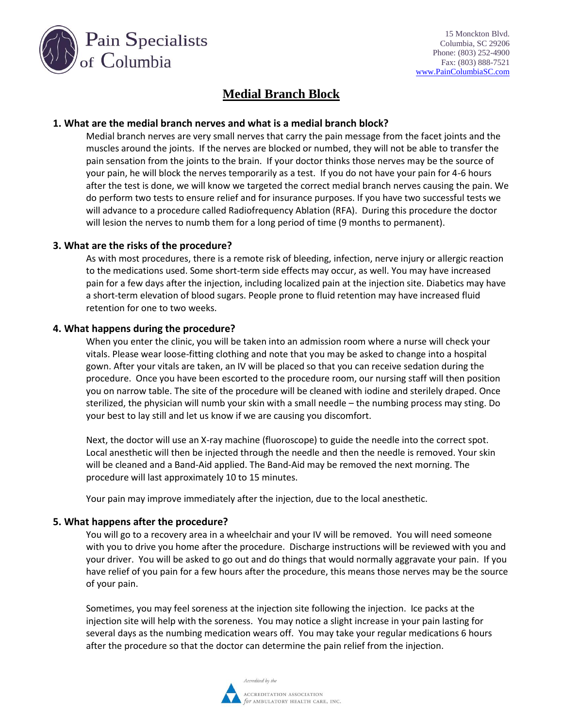

# **Medial Branch Block**

## **1. What are the medial branch nerves and what is a medial branch block?**

Medial branch nerves are very small nerves that carry the pain message from the facet joints and the muscles around the joints. If the nerves are blocked or numbed, they will not be able to transfer the pain sensation from the joints to the brain. If your doctor thinks those nerves may be the source of your pain, he will block the nerves temporarily as a test. If you do not have your pain for 4-6 hours after the test is done, we will know we targeted the correct medial branch nerves causing the pain. We do perform two tests to ensure relief and for insurance purposes. If you have two successful tests we will advance to a procedure called Radiofrequency Ablation (RFA). During this procedure the doctor will lesion the nerves to numb them for a long period of time (9 months to permanent).

#### **3. What are the risks of the procedure?**

As with most procedures, there is a remote risk of bleeding, infection, nerve injury or allergic reaction to the medications used. Some short-term side effects may occur, as well. You may have increased pain for a few days after the injection, including localized pain at the injection site. Diabetics may have a short-term elevation of blood sugars. People prone to fluid retention may have increased fluid retention for one to two weeks.

#### **4. What happens during the procedure?**

When you enter the clinic, you will be taken into an admission room where a nurse will check your vitals. Please wear loose-fitting clothing and note that you may be asked to change into a hospital gown. After your vitals are taken, an IV will be placed so that you can receive sedation during the procedure. Once you have been escorted to the procedure room, our nursing staff will then position you on narrow table. The site of the procedure will be cleaned with iodine and sterilely draped. Once sterilized, the physician will numb your skin with a small needle – the numbing process may sting. Do your best to lay still and let us know if we are causing you discomfort.

Next, the doctor will use an X-ray machine (fluoroscope) to guide the needle into the correct spot. Local anesthetic will then be injected through the needle and then the needle is removed. Your skin will be cleaned and a Band-Aid applied. The Band-Aid may be removed the next morning. The procedure will last approximately 10 to 15 minutes.

Your pain may improve immediately after the injection, due to the local anesthetic.

#### **5. What happens after the procedure?**

You will go to a recovery area in a wheelchair and your IV will be removed. You will need someone with you to drive you home after the procedure. Discharge instructions will be reviewed with you and your driver. You will be asked to go out and do things that would normally aggravate your pain. If you have relief of you pain for a few hours after the procedure, this means those nerves may be the source of your pain.

Sometimes, you may feel soreness at the injection site following the injection. Ice packs at the injection site will help with the soreness. You may notice a slight increase in your pain lasting for several days as the numbing medication wears off. You may take your regular medications 6 hours after the procedure so that the doctor can determine the pain relief from the injection.